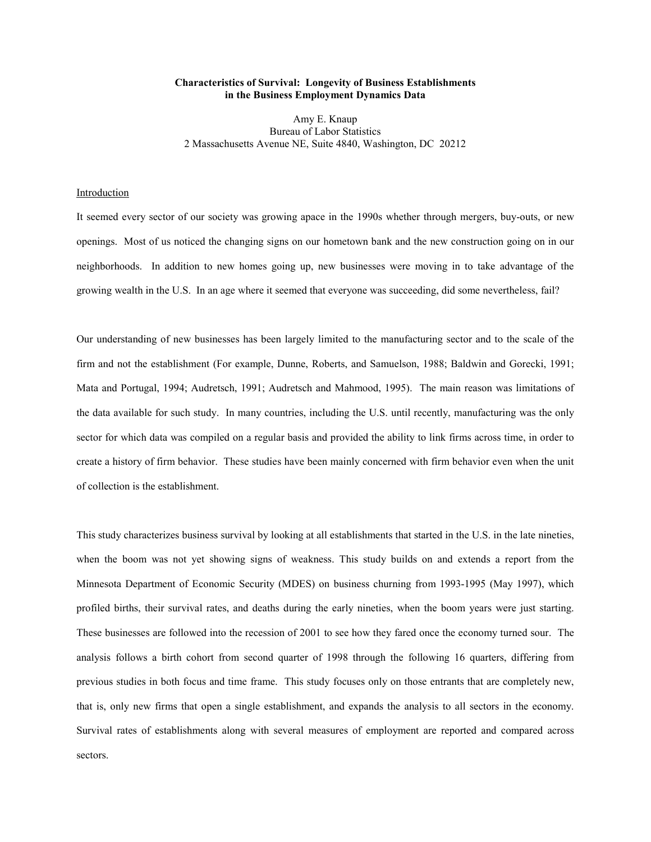# **Characteristics of Survival: Longevity of Business Establishments in the Business Employment Dynamics Data**

Amy E. Knaup Bureau of Labor Statistics 2 Massachusetts Avenue NE, Suite 4840, Washington, DC 20212

# **Introduction**

It seemed every sector of our society was growing apace in the 1990s whether through mergers, buy-outs, or new openings. Most of us noticed the changing signs on our hometown bank and the new construction going on in our neighborhoods. In addition to new homes going up, new businesses were moving in to take advantage of the growing wealth in the U.S. In an age where it seemed that everyone was succeeding, did some nevertheless, fail?

Our understanding of new businesses has been largely limited to the manufacturing sector and to the scale of the firm and not the establishment (For example, Dunne, Roberts, and Samuelson, 1988; Baldwin and Gorecki, 1991; Mata and Portugal, 1994; Audretsch, 1991; Audretsch and Mahmood, 1995). The main reason was limitations of the data available for such study. In many countries, including the U.S. until recently, manufacturing was the only sector for which data was compiled on a regular basis and provided the ability to link firms across time, in order to create a history of firm behavior. These studies have been mainly concerned with firm behavior even when the unit of collection is the establishment.

This study characterizes business survival by looking at all establishments that started in the U.S. in the late nineties, when the boom was not yet showing signs of weakness. This study builds on and extends a report from the Minnesota Department of Economic Security (MDES) on business churning from 1993-1995 (May 1997), which profiled births, their survival rates, and deaths during the early nineties, when the boom years were just starting. These businesses are followed into the recession of 2001 to see how they fared once the economy turned sour. The analysis follows a birth cohort from second quarter of 1998 through the following 16 quarters, differing from previous studies in both focus and time frame. This study focuses only on those entrants that are completely new, that is, only new firms that open a single establishment, and expands the analysis to all sectors in the economy. Survival rates of establishments along with several measures of employment are reported and compared across sectors.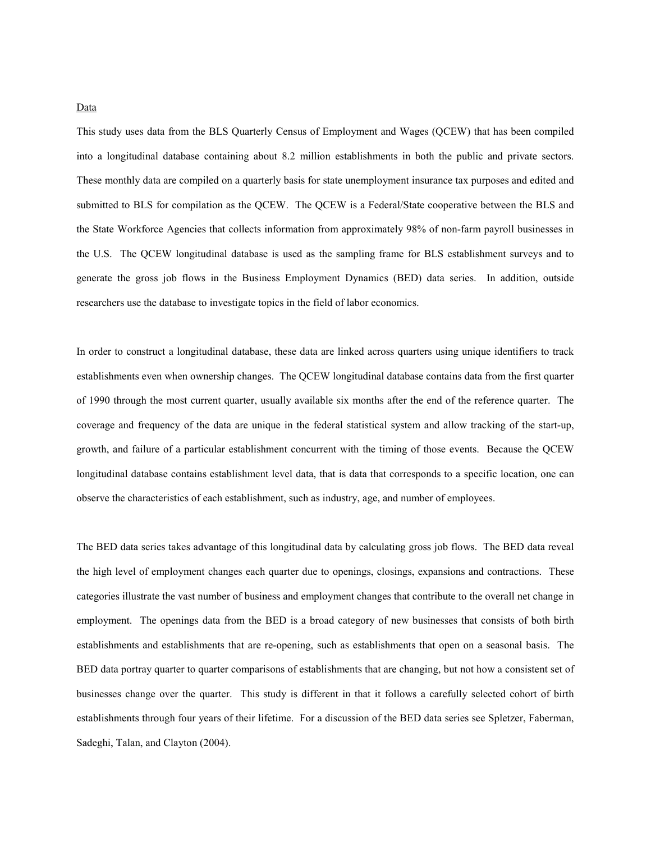This study uses data from the BLS Quarterly Census of Employment and Wages (QCEW) that has been compiled into a longitudinal database containing about 8.2 million establishments in both the public and private sectors. These monthly data are compiled on a quarterly basis for state unemployment insurance tax purposes and edited and submitted to BLS for compilation as the QCEW. The QCEW is a Federal/State cooperative between the BLS and the State Workforce Agencies that collects information from approximately 98% of non-farm payroll businesses in the U.S. The QCEW longitudinal database is used as the sampling frame for BLS establishment surveys and to generate the gross job flows in the Business Employment Dynamics (BED) data series. In addition, outside researchers use the database to investigate topics in the field of labor economics.

In order to construct a longitudinal database, these data are linked across quarters using unique identifiers to track establishments even when ownership changes. The QCEW longitudinal database contains data from the first quarter of 1990 through the most current quarter, usually available six months after the end of the reference quarter. The coverage and frequency of the data are unique in the federal statistical system and allow tracking of the start-up, growth, and failure of a particular establishment concurrent with the timing of those events. Because the QCEW longitudinal database contains establishment level data, that is data that corresponds to a specific location, one can observe the characteristics of each establishment, such as industry, age, and number of employees.

The BED data series takes advantage of this longitudinal data by calculating gross job flows. The BED data reveal the high level of employment changes each quarter due to openings, closings, expansions and contractions. These categories illustrate the vast number of business and employment changes that contribute to the overall net change in employment. The openings data from the BED is a broad category of new businesses that consists of both birth establishments and establishments that are re-opening, such as establishments that open on a seasonal basis. The BED data portray quarter to quarter comparisons of establishments that are changing, but not how a consistent set of businesses change over the quarter. This study is different in that it follows a carefully selected cohort of birth establishments through four years of their lifetime. For a discussion of the BED data series see Spletzer, Faberman, Sadeghi, Talan, and Clayton (2004).

Data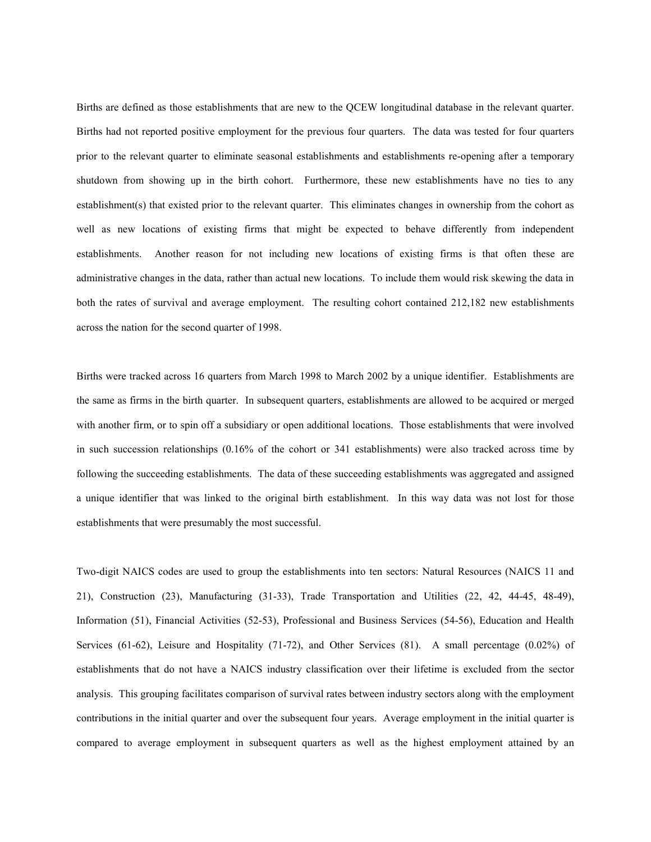Births are defined as those establishments that are new to the QCEW longitudinal database in the relevant quarter. Births had not reported positive employment for the previous four quarters. The data was tested for four quarters prior to the relevant quarter to eliminate seasonal establishments and establishments re-opening after a temporary shutdown from showing up in the birth cohort. Furthermore, these new establishments have no ties to any establishment(s) that existed prior to the relevant quarter. This eliminates changes in ownership from the cohort as well as new locations of existing firms that might be expected to behave differently from independent establishments. Another reason for not including new locations of existing firms is that often these are administrative changes in the data, rather than actual new locations. To include them would risk skewing the data in both the rates of survival and average employment. The resulting cohort contained 212,182 new establishments across the nation for the second quarter of 1998.

Births were tracked across 16 quarters from March 1998 to March 2002 by a unique identifier. Establishments are the same as firms in the birth quarter. In subsequent quarters, establishments are allowed to be acquired or merged with another firm, or to spin off a subsidiary or open additional locations. Those establishments that were involved in such succession relationships (0.16% of the cohort or 341 establishments) were also tracked across time by following the succeeding establishments. The data of these succeeding establishments was aggregated and assigned a unique identifier that was linked to the original birth establishment. In this way data was not lost for those establishments that were presumably the most successful.

Two-digit NAICS codes are used to group the establishments into ten sectors: Natural Resources (NAICS 11 and 21), Construction (23), Manufacturing (31-33), Trade Transportation and Utilities (22, 42, 44-45, 48-49), Information (51), Financial Activities (52-53), Professional and Business Services (54-56), Education and Health Services (61-62), Leisure and Hospitality (71-72), and Other Services (81). A small percentage (0.02%) of establishments that do not have a NAICS industry classification over their lifetime is excluded from the sector analysis. This grouping facilitates comparison of survival rates between industry sectors along with the employment contributions in the initial quarter and over the subsequent four years. Average employment in the initial quarter is compared to average employment in subsequent quarters as well as the highest employment attained by an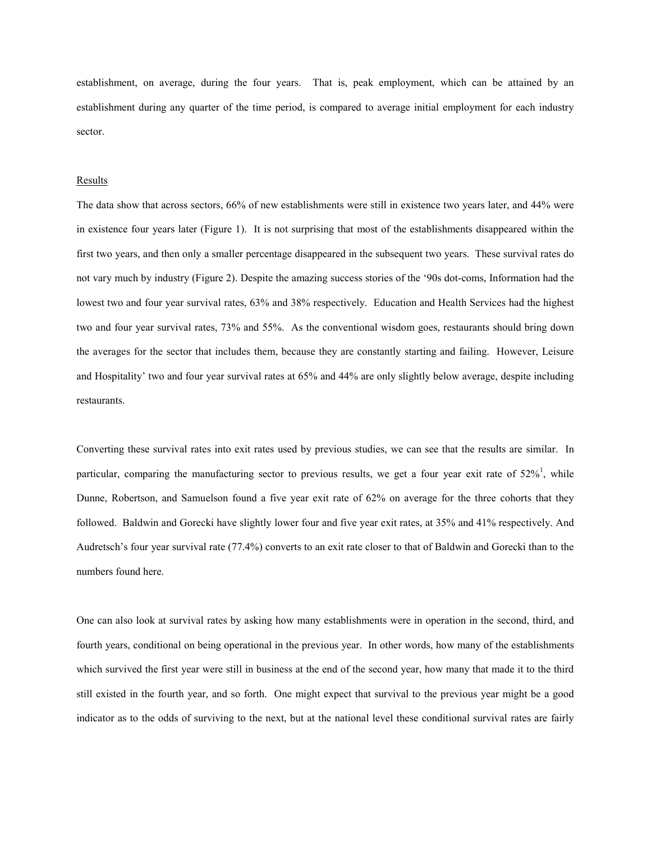establishment, on average, during the four years. That is, peak employment, which can be attained by an establishment during any quarter of the time period, is compared to average initial employment for each industry sector.

#### **Results**

The data show that across sectors, 66% of new establishments were still in existence two years later, and 44% were in existence four years later (Figure 1). It is not surprising that most of the establishments disappeared within the first two years, and then only a smaller percentage disappeared in the subsequent two years. These survival rates do not vary much by industry (Figure 2). Despite the amazing success stories of the '90s dot-coms, Information had the lowest two and four year survival rates, 63% and 38% respectively. Education and Health Services had the highest two and four year survival rates, 73% and 55%. As the conventional wisdom goes, restaurants should bring down the averages for the sector that includes them, because they are constantly starting and failing. However, Leisure and Hospitality' two and four year survival rates at 65% and 44% are only slightly below average, despite including restaurants.

Converting these survival rates into exit rates used by previous studies, we can see that the results are similar. In particular, comparing the manufacturing sector to previous results, we get a four year exit rate of  $52\%$ <sup>1</sup>, while Dunne, Robertson, and Samuelson found a five year exit rate of 62% on average for the three cohorts that they followed. Baldwin and Gorecki have slightly lower four and five year exit rates, at 35% and 41% respectively. And Audretsch's four year survival rate (77.4%) converts to an exit rate closer to that of Baldwin and Gorecki than to the numbers found here.

One can also look at survival rates by asking how many establishments were in operation in the second, third, and fourth years, conditional on being operational in the previous year. In other words, how many of the establishments which survived the first year were still in business at the end of the second year, how many that made it to the third still existed in the fourth year, and so forth. One might expect that survival to the previous year might be a good indicator as to the odds of surviving to the next, but at the national level these conditional survival rates are fairly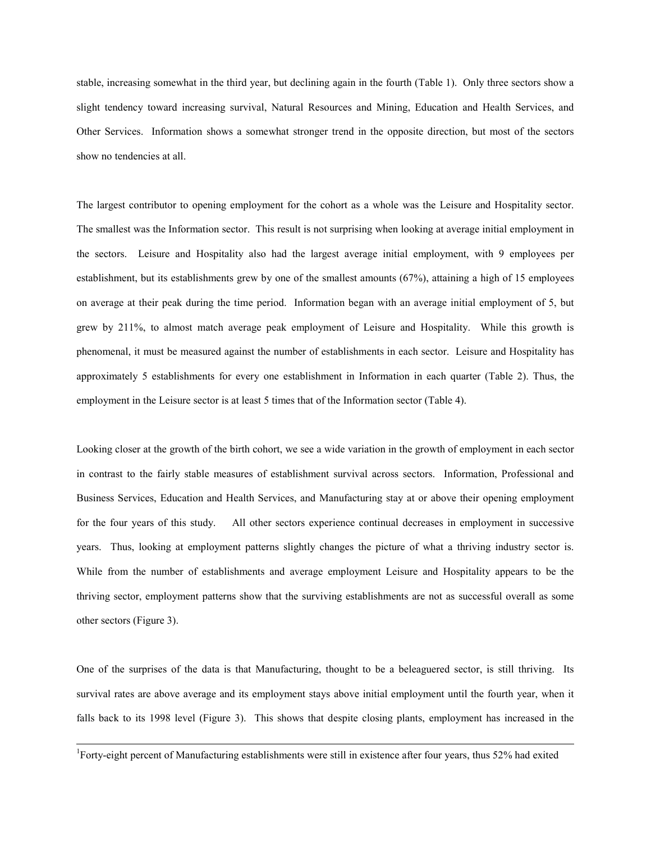stable, increasing somewhat in the third year, but declining again in the fourth (Table 1). Only three sectors show a slight tendency toward increasing survival, Natural Resources and Mining, Education and Health Services, and Other Services. Information shows a somewhat stronger trend in the opposite direction, but most of the sectors show no tendencies at all.

The largest contributor to opening employment for the cohort as a whole was the Leisure and Hospitality sector. The smallest was the Information sector. This result is not surprising when looking at average initial employment in the sectors. Leisure and Hospitality also had the largest average initial employment, with 9 employees per establishment, but its establishments grew by one of the smallest amounts (67%), attaining a high of 15 employees on average at their peak during the time period. Information began with an average initial employment of 5, but grew by 211%, to almost match average peak employment of Leisure and Hospitality. While this growth is phenomenal, it must be measured against the number of establishments in each sector. Leisure and Hospitality has approximately 5 establishments for every one establishment in Information in each quarter (Table 2). Thus, the employment in the Leisure sector is at least 5 times that of the Information sector (Table 4).

Looking closer at the growth of the birth cohort, we see a wide variation in the growth of employment in each sector in contrast to the fairly stable measures of establishment survival across sectors. Information, Professional and Business Services, Education and Health Services, and Manufacturing stay at or above their opening employment for the four years of this study. All other sectors experience continual decreases in employment in successive years. Thus, looking at employment patterns slightly changes the picture of what a thriving industry sector is. While from the number of establishments and average employment Leisure and Hospitality appears to be the thriving sector, employment patterns show that the surviving establishments are not as successful overall as some other sectors (Figure 3).

One of the surprises of the data is that Manufacturing, thought to be a beleaguered sector, is still thriving. Its survival rates are above average and its employment stays above initial employment until the fourth year, when it falls back to its 1998 level (Figure 3). This shows that despite closing plants, employment has increased in the

<sup>1</sup>Forty-eight percent of Manufacturing establishments were still in existence after four years, thus 52% had exited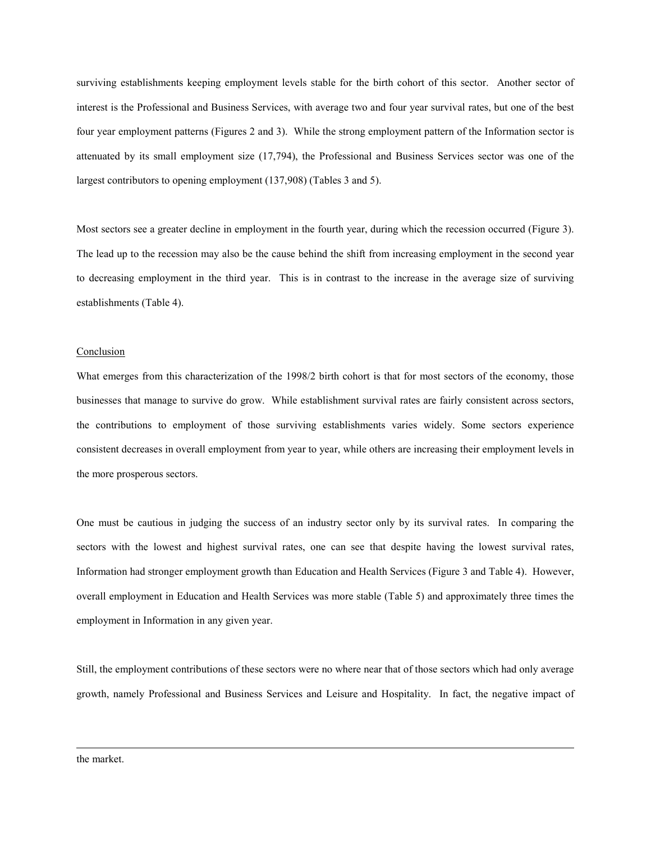surviving establishments keeping employment levels stable for the birth cohort of this sector. Another sector of interest is the Professional and Business Services, with average two and four year survival rates, but one of the best four year employment patterns (Figures 2 and 3). While the strong employment pattern of the Information sector is attenuated by its small employment size (17,794), the Professional and Business Services sector was one of the largest contributors to opening employment (137,908) (Tables 3 and 5).

Most sectors see a greater decline in employment in the fourth year, during which the recession occurred (Figure 3). The lead up to the recession may also be the cause behind the shift from increasing employment in the second year to decreasing employment in the third year. This is in contrast to the increase in the average size of surviving establishments (Table 4).

## **Conclusion**

What emerges from this characterization of the 1998/2 birth cohort is that for most sectors of the economy, those businesses that manage to survive do grow. While establishment survival rates are fairly consistent across sectors, the contributions to employment of those surviving establishments varies widely. Some sectors experience consistent decreases in overall employment from year to year, while others are increasing their employment levels in the more prosperous sectors.

One must be cautious in judging the success of an industry sector only by its survival rates. In comparing the sectors with the lowest and highest survival rates, one can see that despite having the lowest survival rates, Information had stronger employment growth than Education and Health Services (Figure 3 and Table 4). However, overall employment in Education and Health Services was more stable (Table 5) and approximately three times the employment in Information in any given year.

Still, the employment contributions of these sectors were no where near that of those sectors which had only average growth, namely Professional and Business Services and Leisure and Hospitality. In fact, the negative impact of

the market.

1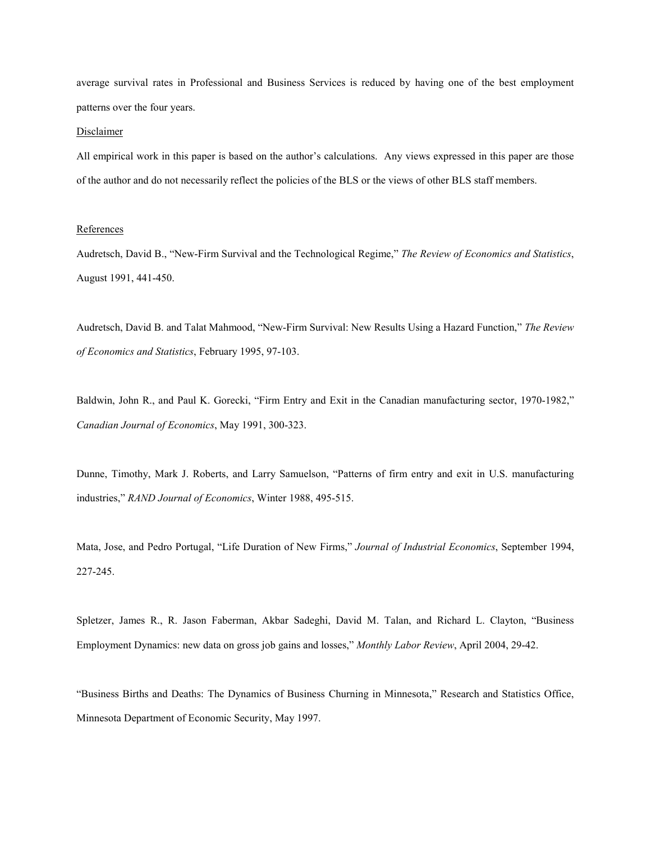average survival rates in Professional and Business Services is reduced by having one of the best employment patterns over the four years.

### Disclaimer

All empirical work in this paper is based on the author's calculations. Any views expressed in this paper are those of the author and do not necessarily reflect the policies of the BLS or the views of other BLS staff members.

### References

Audretsch, David B., "New-Firm Survival and the Technological Regime," *The Review of Economics and Statistics*, August 1991, 441-450.

Audretsch, David B. and Talat Mahmood, "New-Firm Survival: New Results Using a Hazard Function," *The Review of Economics and Statistics*, February 1995, 97-103.

Baldwin, John R., and Paul K. Gorecki, "Firm Entry and Exit in the Canadian manufacturing sector, 1970-1982," *Canadian Journal of Economics*, May 1991, 300-323.

Dunne, Timothy, Mark J. Roberts, and Larry Samuelson, "Patterns of firm entry and exit in U.S. manufacturing industries," *RAND Journal of Economics*, Winter 1988, 495-515.

Mata, Jose, and Pedro Portugal, "Life Duration of New Firms," *Journal of Industrial Economics*, September 1994, 227-245.

Spletzer, James R., R. Jason Faberman, Akbar Sadeghi, David M. Talan, and Richard L. Clayton, "Business Employment Dynamics: new data on gross job gains and losses," *Monthly Labor Review*, April 2004, 29-42.

"Business Births and Deaths: The Dynamics of Business Churning in Minnesota," Research and Statistics Office, Minnesota Department of Economic Security, May 1997.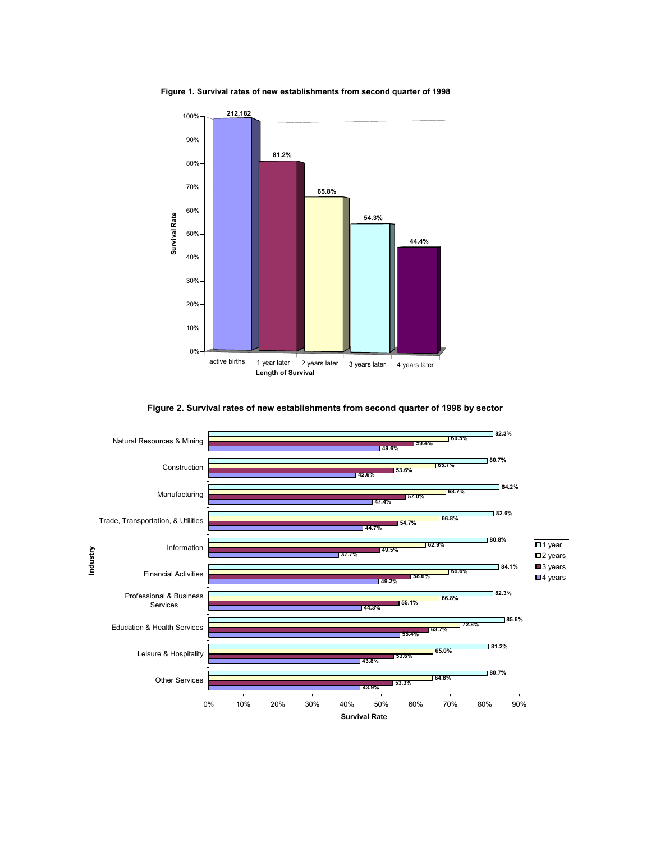**Figure 1. Survival rates of new establishments from second quarter of 1998** 





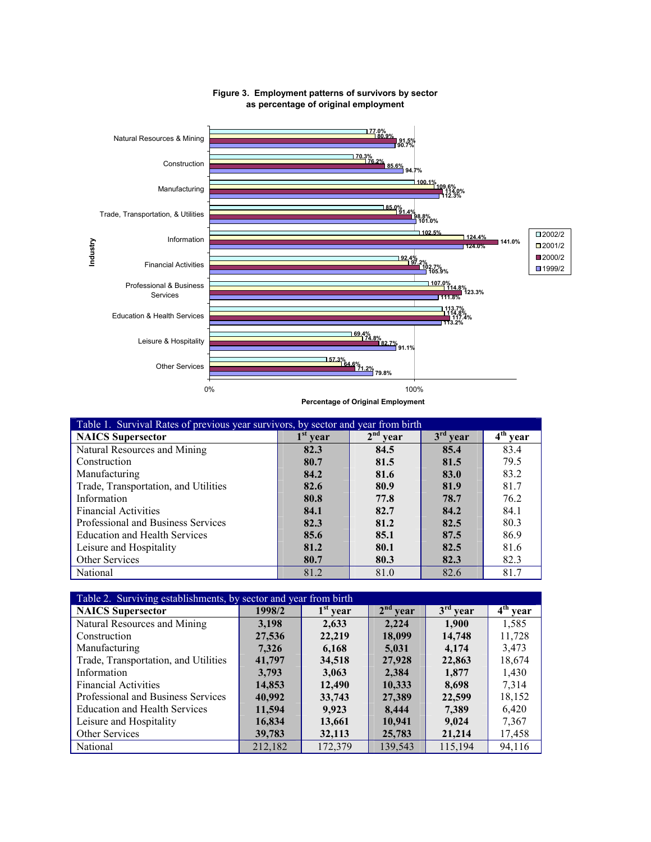

# **Figure 3. Employment patterns of survivors by sector as percentage of original employment**

**Percentage of Original Employment**

| Table 1. Survival Rates of previous year survivors, by sector and year from birth |                         |                         |                         |                         |
|-----------------------------------------------------------------------------------|-------------------------|-------------------------|-------------------------|-------------------------|
| <b>NAICS</b> Supersector                                                          | 1 <sup>st</sup><br>vear | 2 <sup>nd</sup><br>vear | 3 <sup>rd</sup><br>vear | $4^{\text{th}}$<br>vear |
| Natural Resources and Mining                                                      | 82.3                    | 84.5                    | 85.4                    | 83.4                    |
| Construction                                                                      | 80.7                    | 81.5                    | 81.5                    | 79.5                    |
| Manufacturing                                                                     | 84.2                    | 81.6                    | 83.0                    | 83.2                    |
| Trade, Transportation, and Utilities                                              | 82.6                    | 80.9                    | 81.9                    | 81.7                    |
| Information                                                                       | 80.8                    | 77.8                    | 78.7                    | 76.2                    |
| <b>Financial Activities</b>                                                       | 84.1                    | 82.7                    | 84.2                    | 84.1                    |
| Professional and Business Services                                                | 82.3                    | 81.2                    | 82.5                    | 80.3                    |
| <b>Education and Health Services</b>                                              | 85.6                    | 85.1                    | 87.5                    | 86.9                    |
| Leisure and Hospitality                                                           | 81.2                    | 80.1                    | 82.5                    | 81.6                    |
| <b>Other Services</b>                                                             | 80.7                    | 80.3                    | 82.3                    | 82.3                    |
| National                                                                          | 81.2                    | 81.0                    | 82.6                    | 81.7                    |

| Table 2. Surviving establishments, by sector and year from birth |         |            |            |            |            |
|------------------------------------------------------------------|---------|------------|------------|------------|------------|
| <b>NAICS</b> Supersector                                         | 1998/2  | $1st$ year | $2nd$ year | $3rd$ year | $4th$ year |
| Natural Resources and Mining                                     | 3,198   | 2,633      | 2.224      | 1,900      | 1,585      |
| Construction                                                     | 27,536  | 22,219     | 18,099     | 14,748     | 11,728     |
| Manufacturing                                                    | 7,326   | 6,168      | 5,031      | 4,174      | 3,473      |
| Trade, Transportation, and Utilities                             | 41,797  | 34,518     | 27,928     | 22,863     | 18,674     |
| Information                                                      | 3,793   | 3,063      | 2,384      | 1,877      | 1,430      |
| <b>Financial Activities</b>                                      | 14,853  | 12,490     | 10,333     | 8,698      | 7.314      |
| Professional and Business Services                               | 40,992  | 33,743     | 27,389     | 22,599     | 18,152     |
| <b>Education and Health Services</b>                             | 11,594  | 9,923      | 8,444      | 7,389      | 6,420      |
| Leisure and Hospitality                                          | 16,834  | 13,661     | 10,941     | 9,024      | 7,367      |
| <b>Other Services</b>                                            | 39,783  | 32,113     | 25,783     | 21,214     | 17,458     |
| National                                                         | 212,182 | 172,379    | 139.543    | 115.194    | 94.116     |